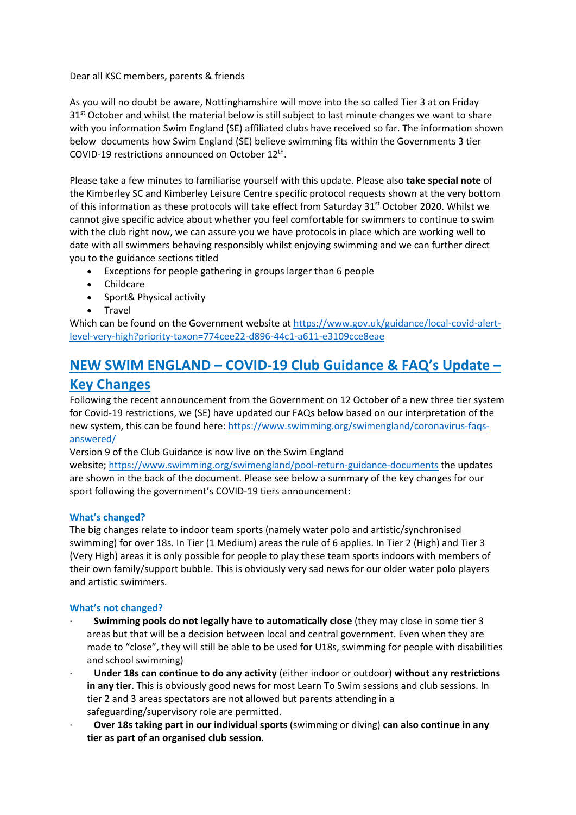Dear all KSC members, parents & friends

As you will no doubt be aware, Nottinghamshire will move into the so called Tier 3 at on Friday  $31<sup>st</sup>$  October and whilst the material below is still subject to last minute changes we want to share with you information Swim England (SE) affiliated clubs have received so far. The information shown below documents how Swim England (SE) believe swimming fits within the Governments 3 tier COVID‐19 restrictions announced on October 12th.

Please take a few minutes to familiarise yourself with this update. Please also **take special note** of the Kimberley SC and Kimberley Leisure Centre specific protocol requests shown at the very bottom of this information as these protocols will take effect from Saturday 31<sup>st</sup> October 2020. Whilst we cannot give specific advice about whether you feel comfortable for swimmers to continue to swim with the club right now, we can assure you we have protocols in place which are working well to date with all swimmers behaving responsibly whilst enjoying swimming and we can further direct you to the guidance sections titled

- Exceptions for people gathering in groups larger than 6 people
- Childcare
- Sport& Physical activity
- Travel

Which can be found on the Government website at https://www.gov.uk/guidance/local-covid-alertlevel‐very‐high?priority‐taxon=774cee22‐d896‐44c1‐a611‐e3109cce8eae

# **NEW SWIM ENGLAND – COVID‐19 Club Guidance & FAQ's Update – Key Changes**

Following the recent announcement from the Government on 12 October of a new three tier system for Covid‐19 restrictions, we (SE) have updated our FAQs below based on our interpretation of the new system, this can be found here: https://www.swimming.org/swimengland/coronavirus-faqsanswered/

Version 9 of the Club Guidance is now live on the Swim England

website; https://www.swimming.org/swimengland/pool-return-guidance-documents the updates are shown in the back of the document. Please see below a summary of the key changes for our sport following the government's COVID-19 tiers announcement:

#### **What's changed?**

The big changes relate to indoor team sports (namely water polo and artistic/synchronised swimming) for over 18s. In Tier (1 Medium) areas the rule of 6 applies. In Tier 2 (High) and Tier 3 (Very High) areas it is only possible for people to play these team sports indoors with members of their own family/support bubble. This is obviously very sad news for our older water polo players and artistic swimmers.

#### **What's not changed?**

- ∙ **Swimming pools do not legally have to automatically close** (they may close in some tier 3 areas but that will be a decision between local and central government. Even when they are made to "close", they will still be able to be used for U18s, swimming for people with disabilities and school swimming)
- ∙ **Under 18s can continue to do any activity** (either indoor or outdoor) **without any restrictions in any tier**. This is obviously good news for most Learn To Swim sessions and club sessions. In tier 2 and 3 areas spectators are not allowed but parents attending in a safeguarding/supervisory role are permitted.
- ∙ **Over 18s taking part in our individual sports** (swimming or diving) **can also continue in any tier as part of an organised club session**.